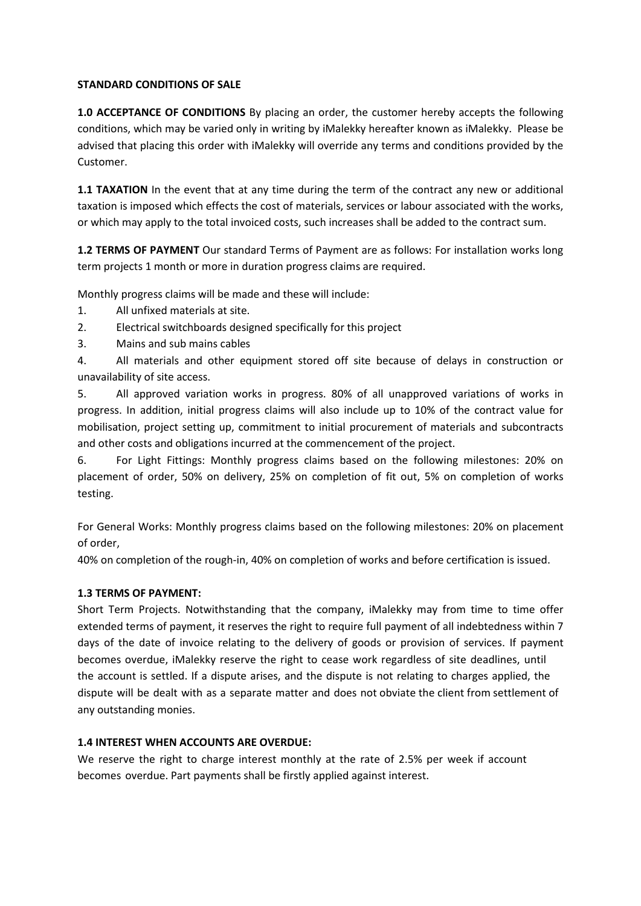## **STANDARD CONDITIONS OF SALE**

**1.0 ACCEPTANCE OF CONDITIONS** By placing an order, the customer hereby accepts the following conditions, which may be varied only in writing by iMalekky hereafter known as iMalekky. Please be advised that placing this order with iMalekky will override any terms and conditions provided by the Customer.

**1.1 TAXATION** In the event that at any time during the term of the contract any new or additional taxation is imposed which effects the cost of materials, services or labour associated with the works, or which may apply to the total invoiced costs, such increases shall be added to the contract sum.

**1.2 TERMS OF PAYMENT** Our standard Terms of Payment are as follows: For installation works long term projects 1 month or more in duration progress claims are required.

Monthly progress claims will be made and these will include:

- 1. All unfixed materials at site.
- 2. Electrical switchboards designed specifically for this project
- 3. Mains and sub mains cables

4. All materials and other equipment stored off site because of delays in construction or unavailability of site access.

5. All approved variation works in progress. 80% of all unapproved variations of works in progress. In addition, initial progress claims will also include up to 10% of the contract value for mobilisation, project setting up, commitment to initial procurement of materials and subcontracts and other costs and obligations incurred at the commencement of the project.

6. For Light Fittings: Monthly progress claims based on the following milestones: 20% on placement of order, 50% on delivery, 25% on completion of fit out, 5% on completion of works testing.

For General Works: Monthly progress claims based on the following milestones: 20% on placement of order,

40% on completion of the rough-in, 40% on completion of works and before certification is issued.

# **1.3 TERMS OF PAYMENT:**

Short Term Projects. Notwithstanding that the company, iMalekky may from time to time offer extended terms of payment, it reserves the right to require full payment of all indebtedness within 7 days of the date of invoice relating to the delivery of goods or provision of services. If payment becomes overdue, iMalekky reserve the right to cease work regardless of site deadlines, until the account is settled. If a dispute arises, and the dispute is not relating to charges applied, the dispute will be dealt with as a separate matter and does not obviate the client from settlement of any outstanding monies.

# **1.4 INTEREST WHEN ACCOUNTS ARE OVERDUE:**

We reserve the right to charge interest monthly at the rate of 2.5% per week if account becomes overdue. Part payments shall be firstly applied against interest.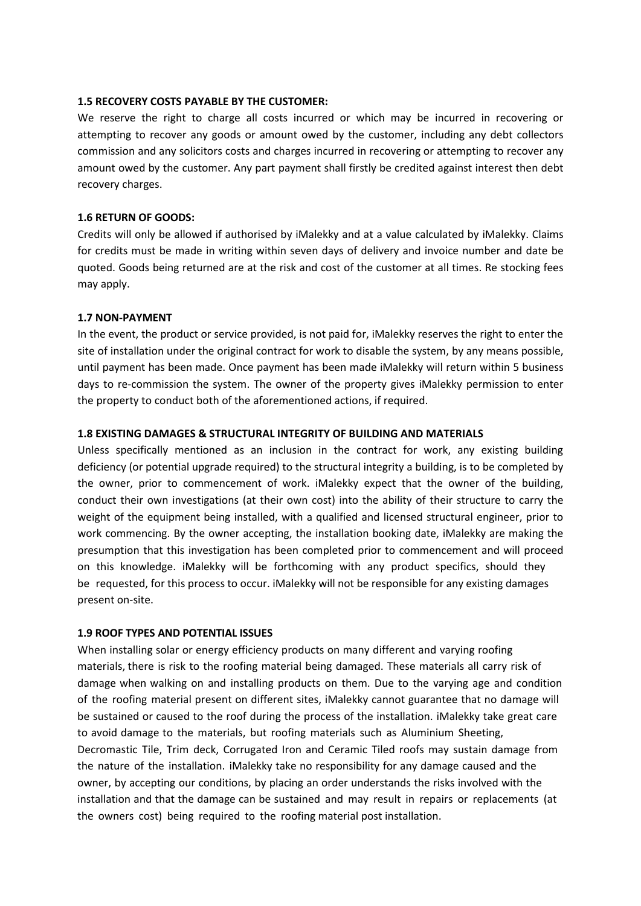#### **1.5 RECOVERY COSTS PAYABLE BY THE CUSTOMER:**

We reserve the right to charge all costs incurred or which may be incurred in recovering or attempting to recover any goods or amount owed by the customer, including any debt collectors commission and any solicitors costs and charges incurred in recovering or attempting to recover any amount owed by the customer. Any part payment shall firstly be credited against interest then debt recovery charges.

### **1.6 RETURN OF GOODS:**

Credits will only be allowed if authorised by iMalekky and at a value calculated by iMalekky. Claims for credits must be made in writing within seven days of delivery and invoice number and date be quoted. Goods being returned are at the risk and cost of the customer at all times. Re stocking fees may apply.

#### **1.7 NON-PAYMENT**

In the event, the product or service provided, is not paid for, iMalekky reserves the right to enter the site of installation under the original contract for work to disable the system, by any means possible, until payment has been made. Once payment has been made iMalekky will return within 5 business days to re-commission the system. The owner of the property gives iMalekky permission to enter the property to conduct both of the aforementioned actions, if required.

### **1.8 EXISTING DAMAGES & STRUCTURAL INTEGRITY OF BUILDING AND MATERIALS**

Unless specifically mentioned as an inclusion in the contract for work, any existing building deficiency (or potential upgrade required) to the structural integrity a building, is to be completed by the owner, prior to commencement of work. iMalekky expect that the owner of the building, conduct their own investigations (at their own cost) into the ability of their structure to carry the weight of the equipment being installed, with a qualified and licensed structural engineer, prior to work commencing. By the owner accepting, the installation booking date, iMalekky are making the presumption that this investigation has been completed prior to commencement and will proceed on this knowledge. iMalekky will be forthcoming with any product specifics, should they be requested, for this process to occur. iMalekky will not be responsible for any existing damages present on-site.

#### **1.9 ROOF TYPES AND POTENTIAL ISSUES**

When installing solar or energy efficiency products on many different and varying roofing materials, there is risk to the roofing material being damaged. These materials all carry risk of damage when walking on and installing products on them. Due to the varying age and condition of the roofing material present on different sites, iMalekky cannot guarantee that no damage will be sustained or caused to the roof during the process of the installation. iMalekky take great care to avoid damage to the materials, but roofing materials such as Aluminium Sheeting, Decromastic Tile, Trim deck, Corrugated Iron and Ceramic Tiled roofs may sustain damage from the nature of the installation. iMalekky take no responsibility for any damage caused and the owner, by accepting our conditions, by placing an order understands the risks involved with the installation and that the damage can be sustained and may result in repairs or replacements (at the owners cost) being required to the roofing material post installation.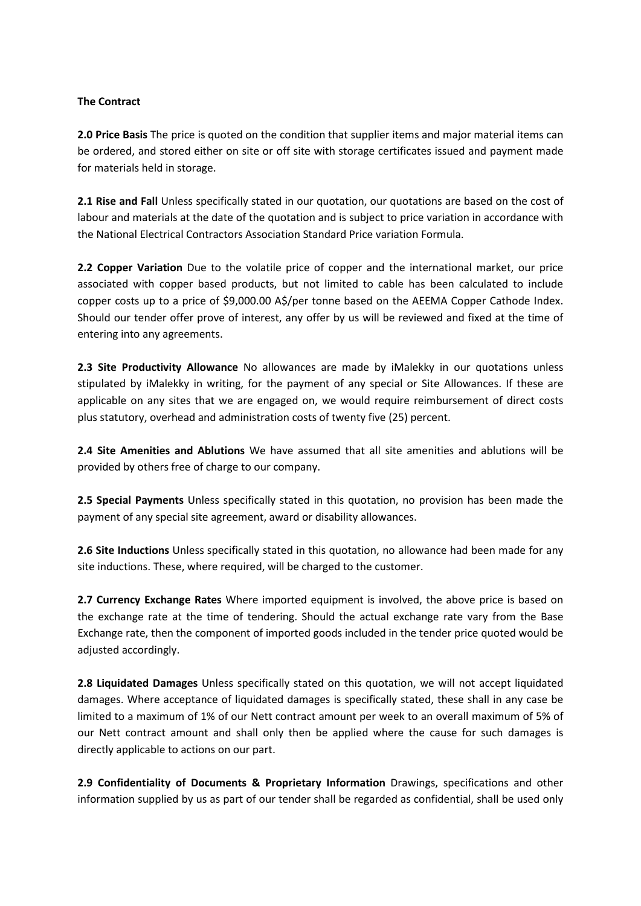## **The Contract**

**2.0 Price Basis** The price is quoted on the condition that supplier items and major material items can be ordered, and stored either on site or off site with storage certificates issued and payment made for materials held in storage.

**2.1 Rise and Fall** Unless specifically stated in our quotation, our quotations are based on the cost of labour and materials at the date of the quotation and is subject to price variation in accordance with the National Electrical Contractors Association Standard Price variation Formula.

**2.2 Copper Variation** Due to the volatile price of copper and the international market, our price associated with copper based products, but not limited to cable has been calculated to include copper costs up to a price of \$9,000.00 A\$/per tonne based on the AEEMA Copper Cathode Index. Should our tender offer prove of interest, any offer by us will be reviewed and fixed at the time of entering into any agreements.

**2.3 Site Productivity Allowance** No allowances are made by iMalekky in our quotations unless stipulated by iMalekky in writing, for the payment of any special or Site Allowances. If these are applicable on any sites that we are engaged on, we would require reimbursement of direct costs plus statutory, overhead and administration costs of twenty five (25) percent.

**2.4 Site Amenities and Ablutions** We have assumed that all site amenities and ablutions will be provided by others free of charge to our company.

**2.5 Special Payments** Unless specifically stated in this quotation, no provision has been made the payment of any special site agreement, award or disability allowances.

**2.6 Site Inductions** Unless specifically stated in this quotation, no allowance had been made for any site inductions. These, where required, will be charged to the customer.

**2.7 Currency Exchange Rates** Where imported equipment is involved, the above price is based on the exchange rate at the time of tendering. Should the actual exchange rate vary from the Base Exchange rate, then the component of imported goods included in the tender price quoted would be adjusted accordingly.

**2.8 Liquidated Damages** Unless specifically stated on this quotation, we will not accept liquidated damages. Where acceptance of liquidated damages is specifically stated, these shall in any case be limited to a maximum of 1% of our Nett contract amount per week to an overall maximum of 5% of our Nett contract amount and shall only then be applied where the cause for such damages is directly applicable to actions on our part.

**2.9 Confidentiality of Documents & Proprietary Information** Drawings, specifications and other information supplied by us as part of our tender shall be regarded as confidential, shall be used only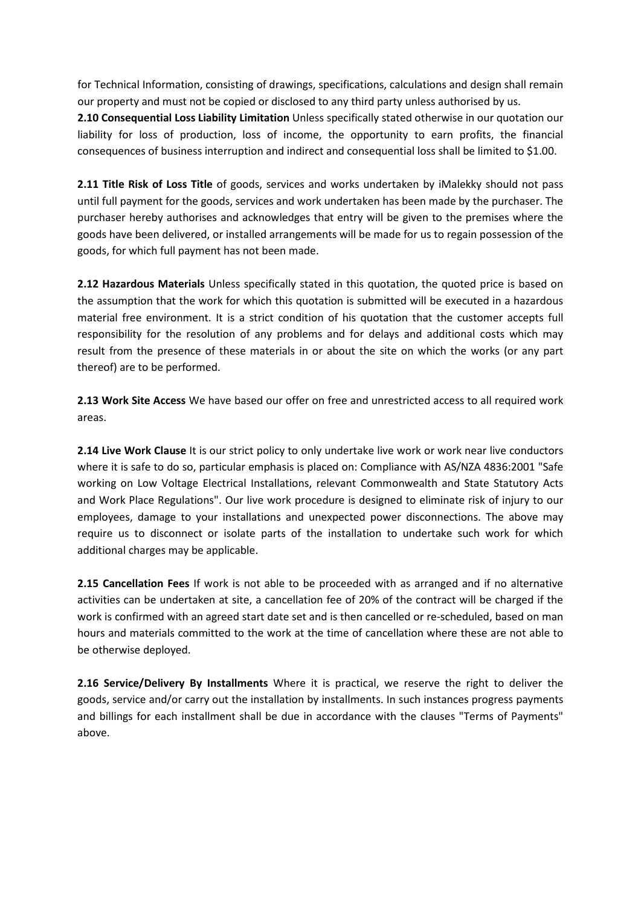for Technical Information, consisting of drawings, specifications, calculations and design shall remain our property and must not be copied or disclosed to any third party unless authorised by us.

**2.10 Consequential Loss Liability Limitation** Unless specifically stated otherwise in our quotation our liability for loss of production, loss of income, the opportunity to earn profits, the financial consequences of business interruption and indirect and consequential loss shall be limited to \$1.00.

**2.11 Title Risk of Loss Title** of goods, services and works undertaken by iMalekky should not pass until full payment for the goods, services and work undertaken has been made by the purchaser. The purchaser hereby authorises and acknowledges that entry will be given to the premises where the goods have been delivered, or installed arrangements will be made for us to regain possession of the goods, for which full payment has not been made.

**2.12 Hazardous Materials** Unless specifically stated in this quotation, the quoted price is based on the assumption that the work for which this quotation is submitted will be executed in a hazardous material free environment. It is a strict condition of his quotation that the customer accepts full responsibility for the resolution of any problems and for delays and additional costs which may result from the presence of these materials in or about the site on which the works (or any part thereof) are to be performed.

**2.13 Work Site Access** We have based our offer on free and unrestricted access to all required work areas.

**2.14 Live Work Clause** It is our strict policy to only undertake live work or work near live conductors where it is safe to do so, particular emphasis is placed on: Compliance with AS/NZA 4836:2001 "Safe working on Low Voltage Electrical Installations, relevant Commonwealth and State Statutory Acts and Work Place Regulations". Our live work procedure is designed to eliminate risk of injury to our employees, damage to your installations and unexpected power disconnections. The above may require us to disconnect or isolate parts of the installation to undertake such work for which additional charges may be applicable.

**2.15 Cancellation Fees** If work is not able to be proceeded with as arranged and if no alternative activities can be undertaken at site, a cancellation fee of 20% of the contract will be charged if the work is confirmed with an agreed start date set and is then cancelled or re-scheduled, based on man hours and materials committed to the work at the time of cancellation where these are not able to be otherwise deployed.

**2.16 Service/Delivery By Installments** Where it is practical, we reserve the right to deliver the goods, service and/or carry out the installation by installments. In such instances progress payments and billings for each installment shall be due in accordance with the clauses "Terms of Payments" above.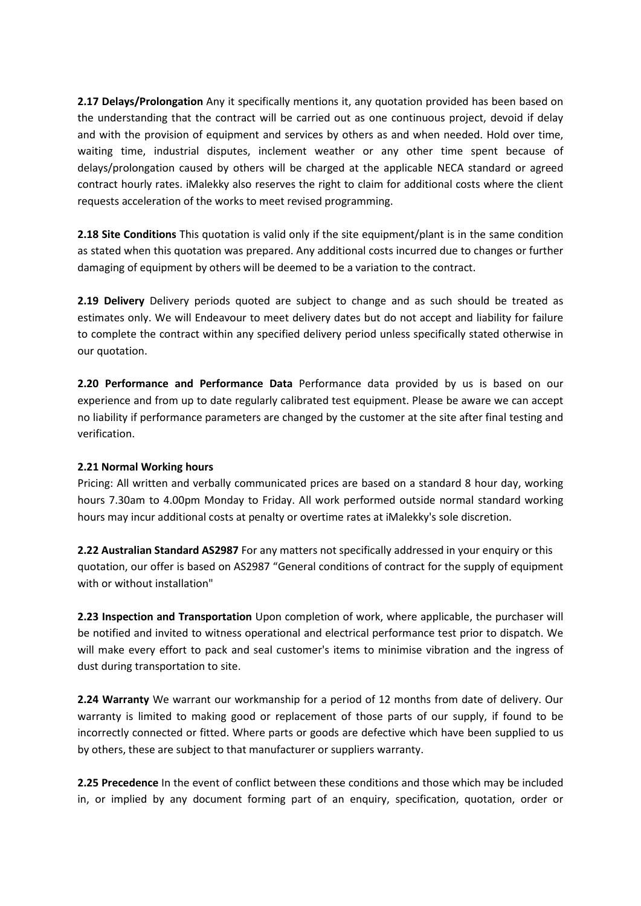**2.17 Delays/Prolongation** Any it specifically mentions it, any quotation provided has been based on the understanding that the contract will be carried out as one continuous project, devoid if delay and with the provision of equipment and services by others as and when needed. Hold over time, waiting time, industrial disputes, inclement weather or any other time spent because of delays/prolongation caused by others will be charged at the applicable NECA standard or agreed contract hourly rates. iMalekky also reserves the right to claim for additional costs where the client requests acceleration of the works to meet revised programming.

**2.18 Site Conditions** This quotation is valid only if the site equipment/plant is in the same condition as stated when this quotation was prepared. Any additional costs incurred due to changes or further damaging of equipment by others will be deemed to be a variation to the contract.

**2.19 Delivery** Delivery periods quoted are subject to change and as such should be treated as estimates only. We will Endeavour to meet delivery dates but do not accept and liability for failure to complete the contract within any specified delivery period unless specifically stated otherwise in our quotation.

**2.20 Performance and Performance Data** Performance data provided by us is based on our experience and from up to date regularly calibrated test equipment. Please be aware we can accept no liability if performance parameters are changed by the customer at the site after final testing and verification.

# **2.21 Normal Working hours**

Pricing: All written and verbally communicated prices are based on a standard 8 hour day, working hours 7.30am to 4.00pm Monday to Friday. All work performed outside normal standard working hours may incur additional costs at penalty or overtime rates at iMalekky's sole discretion.

**2.22 Australian Standard AS2987** For any matters not specifically addressed in your enquiry or this quotation, our offer is based on AS2987 "General conditions of contract for the supply of equipment with or without installation"

**2.23 Inspection and Transportation** Upon completion of work, where applicable, the purchaser will be notified and invited to witness operational and electrical performance test prior to dispatch. We will make every effort to pack and seal customer's items to minimise vibration and the ingress of dust during transportation to site.

**2.24 Warranty** We warrant our workmanship for a period of 12 months from date of delivery. Our warranty is limited to making good or replacement of those parts of our supply, if found to be incorrectly connected or fitted. Where parts or goods are defective which have been supplied to us by others, these are subject to that manufacturer or suppliers warranty.

**2.25 Precedence** In the event of conflict between these conditions and those which may be included in, or implied by any document forming part of an enquiry, specification, quotation, order or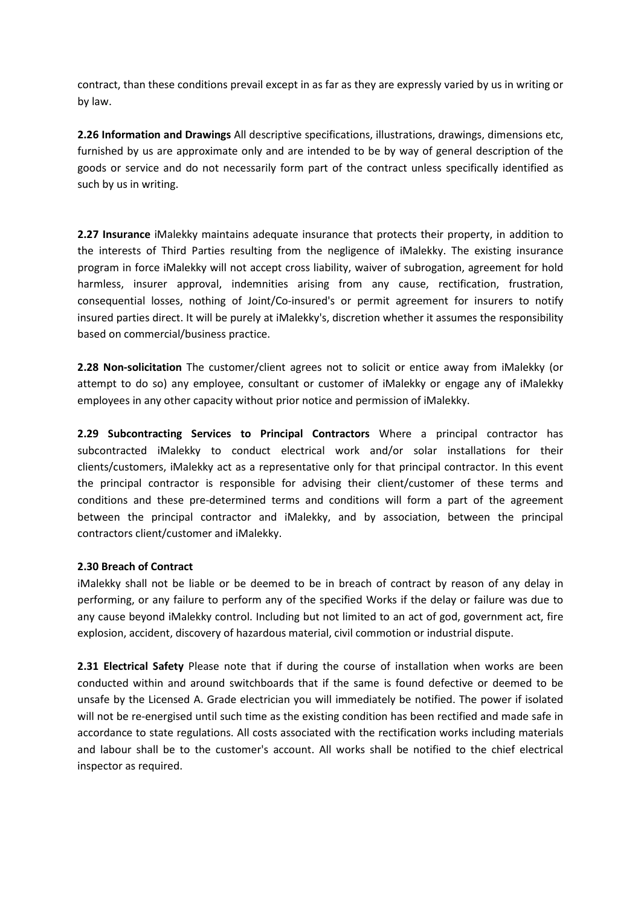contract, than these conditions prevail except in as far as they are expressly varied by us in writing or by law.

**2.26 Information and Drawings** All descriptive specifications, illustrations, drawings, dimensions etc, furnished by us are approximate only and are intended to be by way of general description of the goods or service and do not necessarily form part of the contract unless specifically identified as such by us in writing.

**2.27 Insurance** iMalekky maintains adequate insurance that protects their property, in addition to the interests of Third Parties resulting from the negligence of iMalekky. The existing insurance program in force iMalekky will not accept cross liability, waiver of subrogation, agreement for hold harmless, insurer approval, indemnities arising from any cause, rectification, frustration, consequential losses, nothing of Joint/Co-insured's or permit agreement for insurers to notify insured parties direct. It will be purely at iMalekky's, discretion whether it assumes the responsibility based on commercial/business practice.

**2.28 Non-solicitation** The customer/client agrees not to solicit or entice away from iMalekky (or attempt to do so) any employee, consultant or customer of iMalekky or engage any of iMalekky employees in any other capacity without prior notice and permission of iMalekky.

**2.29 Subcontracting Services to Principal Contractors** Where a principal contractor has subcontracted iMalekky to conduct electrical work and/or solar installations for their clients/customers, iMalekky act as a representative only for that principal contractor. In this event the principal contractor is responsible for advising their client/customer of these terms and conditions and these pre-determined terms and conditions will form a part of the agreement between the principal contractor and iMalekky, and by association, between the principal contractors client/customer and iMalekky.

# **2.30 Breach of Contract**

iMalekky shall not be liable or be deemed to be in breach of contract by reason of any delay in performing, or any failure to perform any of the specified Works if the delay or failure was due to any cause beyond iMalekky control. Including but not limited to an act of god, government act, fire explosion, accident, discovery of hazardous material, civil commotion or industrial dispute.

**2.31 Electrical Safety** Please note that if during the course of installation when works are been conducted within and around switchboards that if the same is found defective or deemed to be unsafe by the Licensed A. Grade electrician you will immediately be notified. The power if isolated will not be re-energised until such time as the existing condition has been rectified and made safe in accordance to state regulations. All costs associated with the rectification works including materials and labour shall be to the customer's account. All works shall be notified to the chief electrical inspector as required.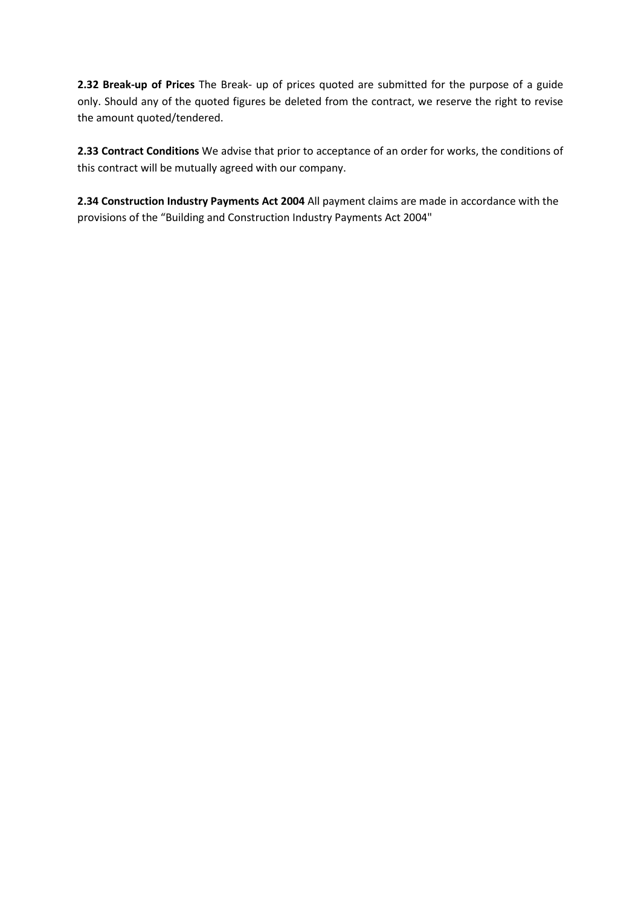**2.32 Break-up of Prices** The Break- up of prices quoted are submitted for the purpose of a guide only. Should any of the quoted figures be deleted from the contract, we reserve the right to revise the amount quoted/tendered.

**2.33 Contract Conditions** We advise that prior to acceptance of an order for works, the conditions of this contract will be mutually agreed with our company.

**2.34 Construction Industry Payments Act 2004** All payment claims are made in accordance with the provisions of the "Building and Construction Industry Payments Act 2004"